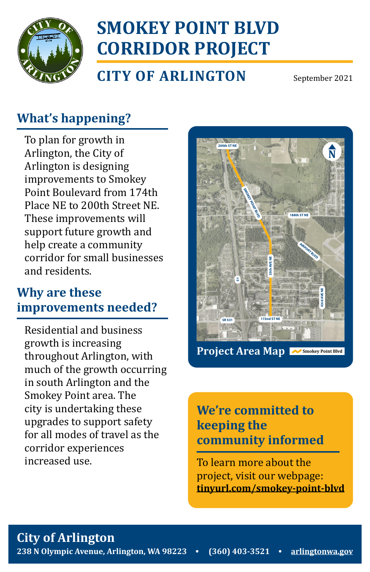

# **SMOKEY POINT BLVD CORRIDOR PROJECT**

**CITY OF ARLINGTON**

September 2021

### **What's happening?**

To plan for growth in Arlington, the City of Arlington is designing improvements to Smokey Point Boulevard from 174th Place NE to 200th Street NE. These improvements will support future growth and help create a community corridor for small businesses and residents.

### **Why are these improvements needed?**

Residential and business growth is increasing throughout Arlington, with much of the growth occurring in south Arlington and the Smokey Point area. The city is undertaking these upgrades to support safety for all modes of travel as the corridor experiences increased use.



Project Area Map <sub>■ △ Smokey Point Blvd</sub>

1 inch = 800 feet

#### **We're committed to keeping the community informed**

To learn more about the project, visit our webpage: **[tinyurl.com/smokey-point-blvd](http://tinyurl.com/smokey-point-blvd)**

### **City of Arlington**